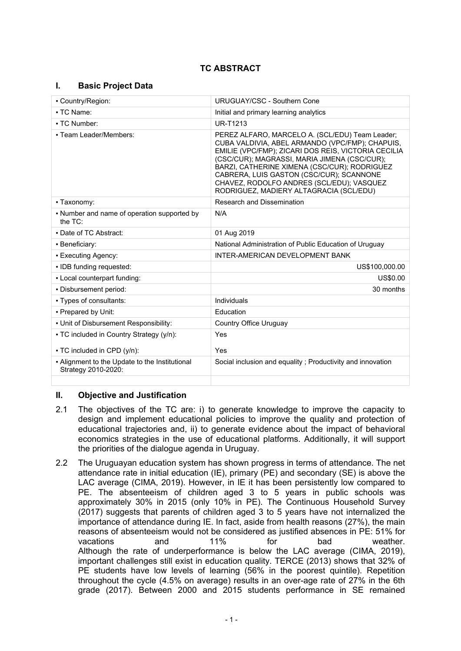# **TC ABSTRACT**

# **I. Basic Project Data**

| - Country/Region:                                                     | URUGUAY/CSC - Southern Cone                                                                                                                                                                                                                                                                                                                                                                   |  |
|-----------------------------------------------------------------------|-----------------------------------------------------------------------------------------------------------------------------------------------------------------------------------------------------------------------------------------------------------------------------------------------------------------------------------------------------------------------------------------------|--|
| • TC Name:                                                            | Initial and primary learning analytics                                                                                                                                                                                                                                                                                                                                                        |  |
| • TC Number:                                                          | <b>UR-T1213</b>                                                                                                                                                                                                                                                                                                                                                                               |  |
| - Team Leader/Members:                                                | PEREZ ALFARO, MARCELO A. (SCL/EDU) Team Leader;<br>CUBA VALDIVIA, ABEL ARMANDO (VPC/FMP); CHAPUIS,<br>EMILIE (VPC/FMP); ZICARI DOS REIS, VICTORIA CECILIA<br>(CSC/CUR); MAGRASSI, MARIA JIMENA (CSC/CUR);<br>BARZI, CATHERINE XIMENA (CSC/CUR); RODRIGUEZ<br>CABRERA, LUIS GASTON (CSC/CUR); SCANNONE<br>CHAVEZ, RODOLFO ANDRES (SCL/EDU); VASQUEZ<br>RODRIGUEZ, MADIERY ALTAGRACIA (SCL/EDU) |  |
| • Taxonomy:                                                           | <b>Research and Dissemination</b>                                                                                                                                                                                                                                                                                                                                                             |  |
| • Number and name of operation supported by<br>the TC:                | N/A                                                                                                                                                                                                                                                                                                                                                                                           |  |
| • Date of TC Abstract:                                                | 01 Aug 2019                                                                                                                                                                                                                                                                                                                                                                                   |  |
| • Beneficiary:                                                        | National Administration of Public Education of Uruguay                                                                                                                                                                                                                                                                                                                                        |  |
| • Executing Agency:                                                   | INTER-AMERICAN DEVELOPMENT BANK                                                                                                                                                                                                                                                                                                                                                               |  |
| · IDB funding requested:                                              | US\$100,000.00                                                                                                                                                                                                                                                                                                                                                                                |  |
| . Local counterpart funding:                                          | US\$0.00                                                                                                                                                                                                                                                                                                                                                                                      |  |
| - Disbursement period:                                                | 30 months                                                                                                                                                                                                                                                                                                                                                                                     |  |
| • Types of consultants:                                               | Individuals                                                                                                                                                                                                                                                                                                                                                                                   |  |
| - Prepared by Unit:                                                   | <b>F</b> ducation                                                                                                                                                                                                                                                                                                                                                                             |  |
| . Unit of Disbursement Responsibility:                                | Country Office Uruguay                                                                                                                                                                                                                                                                                                                                                                        |  |
| • TC included in Country Strategy (y/n):                              | Yes                                                                                                                                                                                                                                                                                                                                                                                           |  |
| • TC included in CPD (y/n):                                           | Yes                                                                                                                                                                                                                                                                                                                                                                                           |  |
| - Alignment to the Update to the Institutional<br>Strategy 2010-2020: | Social inclusion and equality; Productivity and innovation                                                                                                                                                                                                                                                                                                                                    |  |
|                                                                       |                                                                                                                                                                                                                                                                                                                                                                                               |  |

# **II. Objective and Justification**

- 2.1 The objectives of the TC are: i) to generate knowledge to improve the capacity to design and implement educational policies to improve the quality and protection of educational trajectories and, ii) to generate evidence about the impact of behavioral economics strategies in the use of educational platforms. Additionally, it will support the priorities of the dialogue agenda in Uruguay.
- 2.2 The Uruguayan education system has shown progress in terms of attendance. The net attendance rate in initial education (IE), primary (PE) and secondary (SE) is above the LAC average (CIMA, 2019). However, in IE it has been persistently low compared to PE. The absenteeism of children aged 3 to 5 years in public schools was approximately 30% in 2015 (only 10% in PE). The Continuous Household Survey (2017) suggests that parents of children aged 3 to 5 years have not internalized the importance of attendance during IE. In fact, aside from health reasons (27%), the main reasons of absenteeism would not be considered as justified absences in PE: 51% for vacations and 11% for bad weather. Although the rate of underperformance is below the LAC average (CIMA, 2019), important challenges still exist in education quality. TERCE (2013) shows that 32% of PE students have low levels of learning (56% in the poorest quintile). Repetition throughout the cycle (4.5% on average) results in an over-age rate of 27% in the 6th grade (2017). Between 2000 and 2015 students performance in SE remained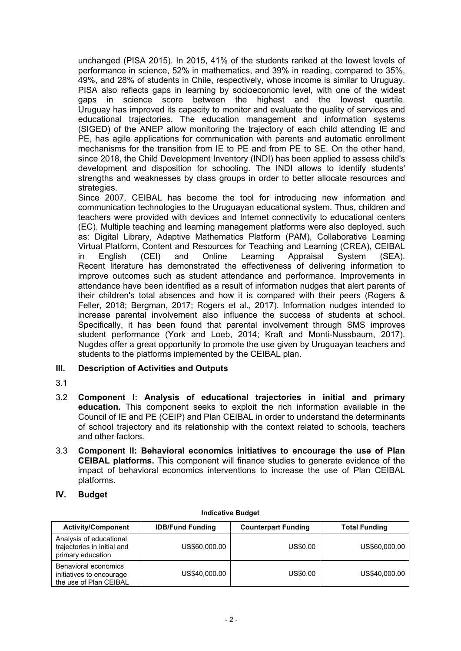unchanged (PISA 2015). In 2015, 41% of the students ranked at the lowest levels of performance in science, 52% in mathematics, and 39% in reading, compared to 35%, 49%, and 28% of students in Chile, respectively, whose income is similar to Uruguay. PISA also reflects gaps in learning by socioeconomic level, with one of the widest gaps in science score between the highest and the lowest quartile. Uruguay has improved its capacity to monitor and evaluate the quality of services and educational trajectories. The education management and information systems (SIGED) of the ANEP allow monitoring the trajectory of each child attending IE and PE, has agile applications for communication with parents and automatic enrollment mechanisms for the transition from IE to PE and from PE to SE. On the other hand, since 2018, the Child Development Inventory (INDI) has been applied to assess child's development and disposition for schooling. The INDI allows to identify students' strengths and weaknesses by class groups in order to better allocate resources and strategies.

Since 2007, CEIBAL has become the tool for introducing new information and communication technologies to the Uruguayan educational system. Thus, children and teachers were provided with devices and Internet connectivity to educational centers (EC). Multiple teaching and learning management platforms were also deployed, such as: Digital Library, Adaptive Mathematics Platform (PAM), Collaborative Learning Virtual Platform, Content and Resources for Teaching and Learning (CREA), CEIBAL in English (CEI) and Online Learning Appraisal System (SEA). Recent literature has demonstrated the effectiveness of delivering information to improve outcomes such as student attendance and performance. Improvements in attendance have been identified as a result of information nudges that alert parents of their children's total absences and how it is compared with their peers (Rogers & Feller, 2018; Bergman, 2017; Rogers et al., 2017). Information nudges intended to increase parental involvement also influence the success of students at school. Specifically, it has been found that parental involvement through SMS improves student performance (York and Loeb, 2014; Kraft and Monti-Nussbaum, 2017). Nugdes offer a great opportunity to promote the use given by Uruguayan teachers and students to the platforms implemented by the CEIBAL plan.

# **III. Description of Activities and Outputs**

- 3.1
- 3.2 **Component I: Analysis of educational trajectories in initial and primary education.** This component seeks to exploit the rich information available in the Council of IE and PE (CEIP) and Plan CEIBAL in order to understand the determinants of school trajectory and its relationship with the context related to schools, teachers and other factors.
- 3.3 **Component II: Behavioral economics initiatives to encourage the use of Plan CEIBAL platforms.** This component will finance studies to generate evidence of the impact of behavioral economics interventions to increase the use of Plan CEIBAL platforms.
- **IV. Budget**

| <b>Activity/Component</b>                                                   | <b>IDB/Fund Funding</b> | <b>Counterpart Funding</b> | <b>Total Funding</b> |
|-----------------------------------------------------------------------------|-------------------------|----------------------------|----------------------|
| Analysis of educational<br>trajectories in initial and<br>primary education | US\$60,000.00           | US\$0.00                   | US\$60,000.00        |
| Behavioral economics<br>initiatives to encourage<br>the use of Plan CEIBAL  | US\$40,000.00           | US\$0.00                   | US\$40,000.00        |

#### **Indicative Budget**